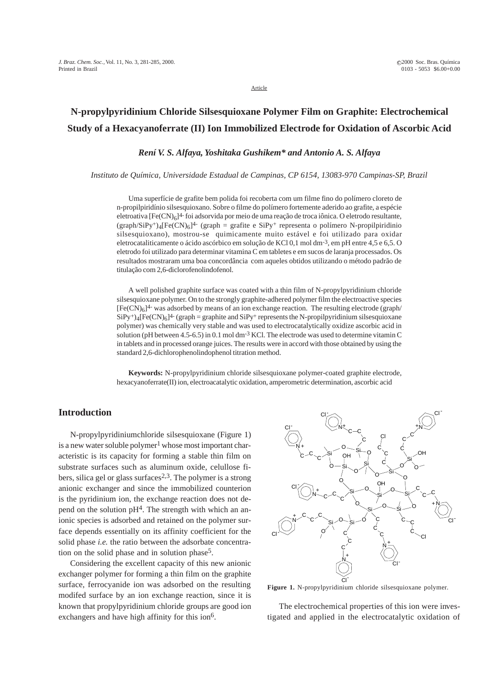Article

# **N-propylpyridinium Chloride Silsesquioxane Polymer Film on Graphite: Electrochemical Study of a Hexacyanoferrate (II) Ion Immobilized Electrode for Oxidation of Ascorbic Acid**

## *Rení V. S. Alfaya, Yoshitaka Gushikem\* and Antonio A. S. Alfaya*

*Instituto de Química, Universidade Estadual de Campinas, CP 6154, 13083-970 Campinas-SP, Brazil*

Uma superfície de grafite bem polida foi recoberta com um filme fino do polímero cloreto de n-propilpiridínio silsesquioxano. Sobre o filme do polímero fortemente aderido ao grafite, a espécie eletroativa  $[Fe(CN)_6]^4$ - foi adsorvida por meio de uma reação de troca iônica. O eletrodo resultante, (graph/SiPy+)<sub>4</sub>[Fe(CN)<sub>6</sub>]<sup>4-</sup> (graph = grafite e SiPy+ representa o polímero N-propilpiridinio silsesquioxano), mostrou-se quimicamente muito estável e foi utilizado para oxidar eletrocataliticamente o ácido ascórbico em solução de KCl 0,1 mol dm-3, em pH entre 4,5 e 6,5. O eletrodo foi utilizado para determinar vitamina C em tabletes e em sucos de laranja processados. Os resultados mostraram uma boa concordância com aqueles obtidos utilizando o método padrão de titulação com 2,6-diclorofenolindofenol.

A well polished graphite surface was coated with a thin film of N-propylpyridinium chloride silsesquioxane polymer. On to the strongly graphite-adhered polymer film the electroactive species  $[Fe(CN)<sub>6</sub>]$ <sup>4-</sup> was adsorbed by means of an ion exchange reaction. The resulting electrode (graph/  $SiPy^{+}$ )<sub>4</sub>[Fe(CN)<sub>6</sub>]<sup>4-</sup> (graph = graphite and  $SiPy^{+}$  represents the N-propilpyridinium silsesquioxane polymer) was chemically very stable and was used to electrocatalytically oxidize ascorbic acid in solution (pH between 4.5-6.5) in 0.1 mol dm-3 KCl. The electrode was used to determine vitamin C in tablets and in processed orange juices. The results were in accord with those obtained by using the standard 2,6-dichlorophenolindophenol titration method.

**Keywords:** N-propylpyridinium chloride silsesquioxane polymer-coated graphite electrode, hexacyanoferrate(II) ion, electroacatalytic oxidation, amperometric determination, ascorbic acid

## **Introduction**

N-propylpyridiniumchloride silsesquioxane (Figure 1) is a new water soluble polymer<sup>1</sup> whose most important characteristic is its capacity for forming a stable thin film on substrate surfaces such as aluminum oxide, celullose fibers, silica gel or glass surfaces<sup>2,3</sup>. The polymer is a strong anionic exchanger and since the immobilized counterion is the pyridinium ion, the exchange reaction does not depend on the solution  $pH<sup>4</sup>$ . The strength with which an anionic species is adsorbed and retained on the polymer surface depends essentially on its affinity coefficient for the solid phase *i.e.* the ratio between the adsorbate concentration on the solid phase and in solution phase<sup>5</sup>.

Considering the excellent capacity of this new anionic exchanger polymer for forming a thin film on the graphite surface, ferrocyanide ion was adsorbed on the resulting modifed surface by an ion exchange reaction, since it is known that propylpyridinium chloride groups are good ion exchangers and have high affinity for this ion<sup>6</sup>.



**Figure 1.** N-propylpyridinium chloride silsesquioxane polymer.

The electrochemical properties of this ion were investigated and applied in the electrocatalytic oxidation of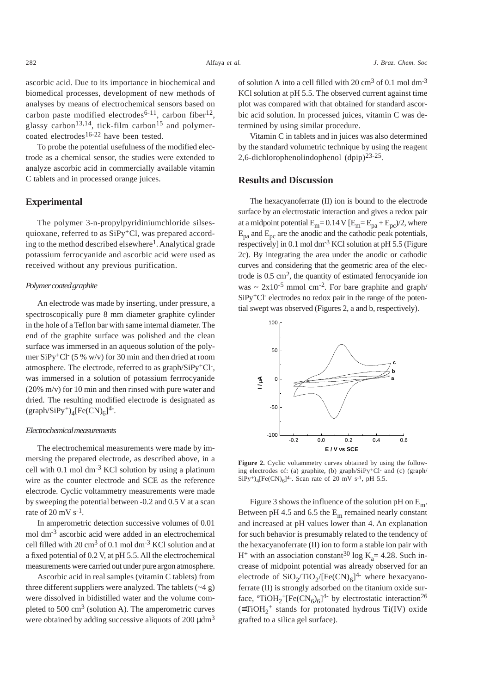ascorbic acid. Due to its importance in biochemical and biomedical processes, development of new methods of analyses by means of electrochemical sensors based on carbon paste modified electrodes<sup>6-11</sup>, carbon fiber<sup>12</sup>, glassy carbon<sup>13,14</sup>, tick-film carbon<sup>15</sup> and polymercoated electrodes<sup>16-22</sup> have been tested.

To probe the potential usefulness of the modified electrode as a chemical sensor, the studies were extended to analyze ascorbic acid in commercially available vitamin C tablets and in processed orange juices.

## **Experimental**

The polymer 3-n-propylpyridiniumchloride silsesquioxane, referred to as  $SiPy<sup>+</sup>Cl$ , was prepared according to the method described elsewhere<sup>1</sup>. Analytical grade potassium ferrocyanide and ascorbic acid were used as received without any previous purification.

#### *Polymer coated graphite*

An electrode was made by inserting, under pressure, a spectroscopically pure 8 mm diameter graphite cylinder in the hole of a Teflon bar with same internal diameter. The end of the graphite surface was polished and the clean surface was immersed in an aqueous solution of the polymer SiPy+Cl- (5 % w/v) for 30 min and then dried at room atmosphere. The electrode, referred to as graph/SiPy+Cl-, was immersed in a solution of potassium ferrrocyanide (20% m/v) for 10 min and then rinsed with pure water and dried. The resulting modified electrode is designated as  $(\text{graph/SiPy}^+)_{4}[\text{Fe(CN)}_{6}]^{4}$ .

#### *Electrochemical measurements*

The electrochemical measurements were made by immersing the prepared electrode, as described above, in a cell with 0.1 mol  $\text{dm}^{-3}$  KCl solution by using a platinum wire as the counter electrode and SCE as the reference electrode. Cyclic voltammetry measurements were made by sweeping the potential between -0.2 and 0.5 V at a scan rate of  $20 \text{ mV s}^{-1}$ .

In amperometric detection successive volumes of 0.01 mol dm-3 ascorbic acid were added in an electrochemical cell filled with 20 cm3 of 0.1 mol dm-3 KCl solution and at a fixed potential of 0.2 V, at pH 5.5. All the electrochemical measurements were carried out under pure argon atmosphere.

Ascorbic acid in real samples (vitamin C tablets) from three different suppliers were analyzed. The tablets  $(-4 g)$ were dissolved in bidistilled water and the volume completed to 500  $\text{cm}^3$  (solution A). The amperometric curves were obtained by adding successive aliquots of  $200 \text{ udm}^3$ 

of solution A into a cell filled with 20 cm<sup>3</sup> of 0.1 mol dm<sup>-3</sup> KCl solution at pH 5.5. The observed current against time plot was compared with that obtained for standard ascorbic acid solution. In processed juices, vitamin C was determined by using similar procedure.

Vitamin C in tablets and in juices was also determined by the standard volumetric technique by using the reagent 2,6-dichlorophenolindophenol (dpip)23-25.

### **Results and Discussion**

The hexacyanoferrate (II) ion is bound to the electrode surface by an electrostatic interaction and gives a redox pair at a midpoint potential  $E_m$  = 0.14 V  $[E_m = E_{pa} + E_{pc}/2$ , where  $E_{pa}$  and  $E_{pc}$  are the anodic and the cathodic peak potentials, respectively] in 0.1 mol dm<sup>-3</sup> KCl solution at pH 5.5 (Figure 2c). By integrating the area under the anodic or cathodic curves and considering that the geometric area of the electrode is  $0.5 \text{ cm}^2$ , the quantity of estimated ferrocyanide ion was  $\sim 2x10^{-5}$  mmol cm<sup>-2</sup>. For bare graphite and graph/ SiPy<sup>+</sup>Cl<sup>-</sup> electrodes no redox pair in the range of the potential swept was observed (Figures 2, a and b, respectively).



Figure 2. Cyclic voltammetry curves obtained by using the following electrodes of: (a) graphite, (b) graph/SiPy+Cl- and (c) (graph/  $SiPy^{+})_{4} [Fe(CN)_{6}]^{4}$ . Scan rate of 20 mV s<sup>-1</sup>, pH 5.5.

Figure 3 shows the influence of the solution pH on  $E_m$ . Between pH 4.5 and 6.5 the  $E_m$  remained nearly constant and increased at pH values lower than 4. An explanation for such behavior is presumably related to the tendency of the hexacyanoferrate (II) ion to form a stable ion pair with  $H^+$  with an association constant<sup>30</sup> log K<sub>a</sub> = 4.28. Such increase of midpoint potential was already observed for an electrode of  $SiO_2/TiO_2/[Fe(CN)_6]^{4-}$  where hexacyanoferrate (II) is strongly adsorbed on the titanium oxide surface,  ${}^{\circ}\text{TiOH}_2{}^+\text{[Fe(CN}_6)_6]^{4-}$  by electrostatic interaction<sup>26</sup>  $($ ≡TiOH<sub>2</sub><sup>+</sup> stands for protonated hydrous Ti(IV) oxide grafted to a silica gel surface).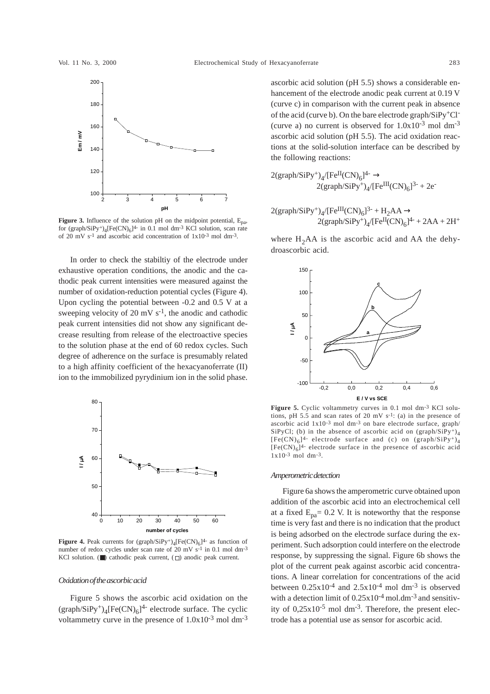

**Figure 3.** Influence of the solution pH on the midpoint potential,  $E_{pa}$ , for  $(\text{graph/SiPy+})_4[\text{Fe(CN)}_6]^{4-}$  in 0.1 mol dm<sup>-3</sup> KCl solution, scan rate of 20 mV s-1 and ascorbic acid concentration of 1x10-3 mol dm-3.

In order to check the stabiltiy of the electrode under exhaustive operation conditions, the anodic and the cathodic peak current intensities were measured against the number of oxidation-reduction potential cycles (Figure 4). Upon cycling the potential between -0.2 and 0.5 V at a sweeping velocity of 20 mV  $s^{-1}$ , the anodic and cathodic peak current intensities did not show any significant decrease resulting from release of the electroactive species to the solution phase at the end of 60 redox cycles. Such degree of adherence on the surface is presumably related to a high affinity coefficient of the hexacyanoferrate (II) ion to the immobilized pyrydinium ion in the solid phase.



**Figure 4.** Peak currents for  $(\text{graph}/\text{SiPy+})_4[\text{Fe(CN)}_6]^{4-}$  as function of number of redox cycles under scan rate of 20 mV s<sup>-1</sup> in 0.1 mol dm<sup>-3</sup> KCl solution. ( $\blacksquare$ ) cathodic peak current, ( $\Box$ ) anodic peak current.

#### *Oxidation of the ascorbic acid*

Figure 5 shows the ascorbic acid oxidation on the  $(\text{graph/SiPy}^+)$ <sub>4</sub>[Fe(CN)<sub>6</sub>]<sup>4-</sup> electrode surface. The cyclic voltammetry curve in the presence of  $1.0x10^{-3}$  mol dm<sup>-3</sup> ascorbic acid solution (pH 5.5) shows a considerable enhancement of the electrode anodic peak current at 0.19 V (curve c) in comparison with the current peak in absence of the acid (curve b). On the bare electrode graph/SiPy+Cl- (curve a) no current is observed for  $1.0x10^{-3}$  mol dm<sup>-3</sup> ascorbic acid solution (pH 5.5). The acid oxidation reactions at the solid-solution interface can be described by the following reactions:

$$
2(\text{graph/SiPy+})_{4}/[\text{Fe}^{II}(CN)_{6}]^{4-} \rightarrow
$$
  
2(\text{graph/SiPy+})\_{4}/[\text{Fe}^{III}(CN)\_{6}]^{3-} + 2e^{-}

$$
2(\text{graph/SiPy}^+)_{4}/[\text{Fe}^{III}(\text{CN})_{6}]^{3-} + \text{H}_{2}\text{AA} \rightarrow
$$
  
2(\text{graph/SiPy}^+)\_{4}/[\text{Fe}^{II}(\text{CN})\_{6}]^{4-} + 2\text{AA} + 2\text{H}^+

where  $H_2AA$  is the ascorbic acid and AA the dehydroascorbic acid.



Figure 5. Cyclic voltammetry curves in 0.1 mol dm<sup>-3</sup> KCl solutions, pH 5.5 and scan rates of 20 mV  $s^{-1}$ : (a) in the presence of ascorbic acid 1x10-3 mol dm-3 on bare electrode surface, graph/ SiPyCl; (b) in the absence of ascorbic acid on  $(\text{graph}/\text{SiPy+})_4$  $[Fe(CN)_6]^{4-}$  electrode surface and (c) on  $(graph/SiPy^+)_4$  $[Fe(CN)<sub>6</sub>]$ <sup>4</sup>- electrode surface in the presence of ascorbic acid 1x10-3 mol dm-3.

#### *Amperometric detection*

Figure 6a shows the amperometric curve obtained upon addition of the ascorbic acid into an electrochemical cell at a fixed  $E_{pa}$ = 0.2 V. It is noteworthy that the response time is very fast and there is no indication that the product is being adsorbed on the electrode surface during the experiment. Such adsorption could interfere on the electrode response, by suppressing the signal. Figure 6b shows the plot of the current peak against ascorbic acid concentrations. A linear correlation for concentrations of the acid between  $0.25x10^{-4}$  and  $2.5x10^{-4}$  mol dm<sup>-3</sup> is observed with a detection limit of  $0.25x10^{-4}$  mol.dm<sup>-3</sup> and sensitivity of  $0.25x10^{-5}$  mol dm<sup>-3</sup>. Therefore, the present electrode has a potential use as sensor for ascorbic acid.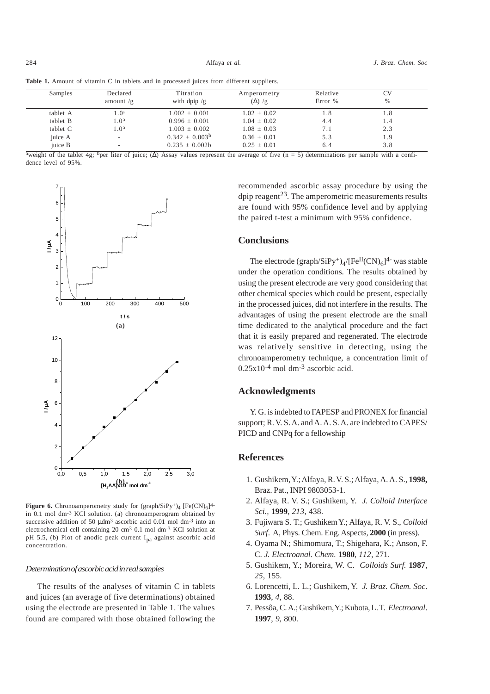| Table 1. Amount of vitamin C in tablets and in processed juices from different suppliers. |  |
|-------------------------------------------------------------------------------------------|--|
|-------------------------------------------------------------------------------------------|--|

| Samples  | Declared<br>amount $/g$ | Titration<br>with dpip $/g$ | Amperometry<br>$(\Delta)$ /g | Relative<br>Error % | CV<br>$\%$ |
|----------|-------------------------|-----------------------------|------------------------------|---------------------|------------|
| tablet A | 1.0 <sup>a</sup>        | $1.002 + 0.001$             | $1.02 + 0.02$                | 1.8                 | 1.8        |
| tablet B | 1.0 <sup>a</sup>        | $0.996 + 0.001$             | $1.04 + 0.02$                | 4.4                 | 1.4        |
| tablet C | 1.0 <sup>a</sup>        | $1.003 + 0.002$             | $1.08 \pm 0.03$              | 7.1                 | 2.3        |
| juice A  |                         | $0.342 + 0.003^b$           | $0.36 + 0.01$                | 5.3                 | 1.9        |
| juice B  |                         | $0.235 + 0.002b$            | $0.25 + 0.01$                | 6.4                 | 3.8        |

 $\frac{a_{\text{weight}}}{a_{\text{weight}}}$  of the tablet 4g;  $\frac{b_{\text{per}}}{c_{\text{filter}}}$  ( $\Delta$ ) Assay values represent the average of five (n = 5) determinations per sample with a confidence level of 95%.



**Figure 6.** Chronoamperometry study for  $(\text{graph}/\text{SiPy}^+)_{4}$  [Fe(CN)<sub>6</sub>]<sup>4-</sup> in 0.1 mol dm-3 KCl solution. (a) chronoamperogram obtained by successive addition of 50  $\mu$ dm<sup>3</sup> ascorbic acid 0.01 mol dm<sup>-3</sup> into an electrochemical cell containing 20 cm3 0.1 mol dm-3 KCl solution at pH 5.5, (b) Plot of anodic peak current  $I_{pa}$  against ascorbic acid concentration.

#### *Determination of ascorbic acid in real samples*

The results of the analyses of vitamin C in tablets and juices (an average of five determinations) obtained using the electrode are presented in Table 1. The values found are compared with those obtained following the recommended ascorbic assay procedure by using the dpip reagent<sup>23</sup>. The amperometric measurements results are found with 95% confidence level and by applying the paired t-test a minimum with 95% confidence.

## **Conclusions**

The electrode  $(\text{graph}/\text{SiPy}^+)_{4}/[\text{Fe}^{\text{II}}(\text{CN})_{6}]^{4}$ - was stable under the operation conditions. The results obtained by using the present electrode are very good considering that other chemical species which could be present, especially in the processed juices, did not interfere in the results. The advantages of using the present electrode are the small time dedicated to the analytical procedure and the fact that it is easily prepared and regenerated. The electrode was relatively sensitive in detecting, using the chronoamperometry technique, a concentration limit of  $0.25x10^{-4}$  mol dm<sup>-3</sup> ascorbic acid.

## **Acknowledgments**

Y. G. is indebted to FAPESP and PRONEX for financial support; R. V. S. A. and A. A. S. A. are indebted to CAPES/ PICD and CNPq for a fellowship

## **References**

- 1. Gushikem, Y.; Alfaya, R. V. S.; Alfaya, A. A. S., **1998,** Braz. Pat., INPI 9803053-1.
- 2. Alfaya, R. V. S.; Gushikem, Y. *J. Colloid Interface Sci.,* **1999**, *213*, 438.
- 3. Fujiwara S. T.; Gushikem Y.; Alfaya, R. V. S., *Colloid Surf*. A, Phys. Chem. Eng. Aspects, **2000** (in press).
- 4. Oyama N.; Shimomura, T.; Shigehara, K.; Anson, F. C. *J. Electroanal. Chem.* **1980**, *112*, 271.
- 5. Gushikem, Y.; Moreira, W. C. *Colloids Surf.* **1987**, *25*, 155.
- 6. Lorencetti, L. L.; Gushikem, Y. *J. Braz. Chem. Soc*. **1993**, *4*, 88.
- 7. Pessôa, C. A.; Gushikem, Y.; Kubota, L. T. *Electroanal*. **1997**, *9*, 800.